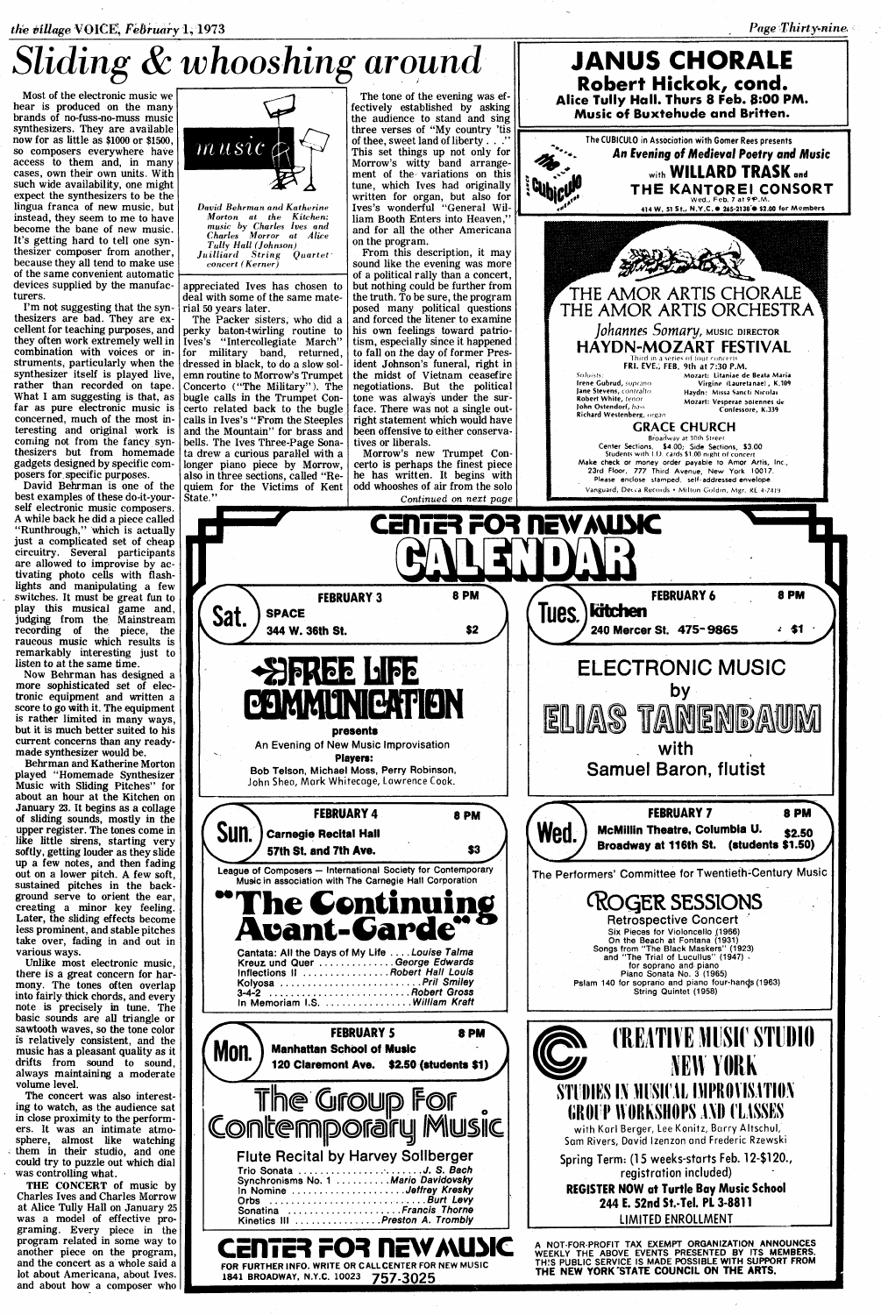## Sliding & whooshing around

Most of the electronic music we hear is produced on the many brands of no-fuss-no-muss music synthesizers. They are available now for as little as \$1000 or \$1500, so composers everywhere have access to them and, in many cases, own their own units. With such wide availability, one might expect the synthesizers to be the lingua franca of new music, but instead, they seem to me to have become the bane of new music. It's getting hard to tell one synthesizer composer from another, because they all tend to make use of the same convenient automatic devices supplied by the manufacturers.

I'm not suggesting that the Synthesizers are bad. They are excellent for teaching purposes, and they often work extremely well in combination with voices or instruments; particularly when the synthesizer itself is played live, rather than recorded on tape. What <sup>I</sup> am suggesting is that, as far as pure electronic music is concerned, much of the most interesting and original work is coming not from the fancy. synthesizers but from homemade gadgets designed by specific composers for specific purposes.

David Behrman is one of the best examples of these do-it-yourself electronic music composers . A while back he did <sup>a</sup> piece called "Runthrough," which is actually just a complicated set of cheap circuitry . Several participants are allowed to improvise by activating photo cells with flashlights and manipulating a few switches . It must be great fun to play this musical game and, judging from the, Mainstream recording of the piece, the raucous music which results is remarkably interesting just to listen to at the same time.

Now Behrman has designed <sup>a</sup> more sophisticated set of electronic equipment and written a score to go with it. The equipment is rather limited in many ways, but it is much better suited to his current concerns than any readymade synthesizer would be.

Behrman and Katherine Morton played "Homemade Synthesizer Music with Sliding Pitches" for about an hour at the Kitchen on January <sup>23</sup> . It begins as a collage of sliding sounds, mostly in the upper register. The tones come in like little sirens, starting very softly, getting louder as they slide up a few notes, and then fading out on <sup>a</sup> lower pitch. A few soft, sustained pitches in the background serve to orient the ear,<br>creating a minor key feeling. creating a minor key feeling. Later, the sliding effects become less prominent, and stable pitches take over, fading in and out in various ways.

Unlike most electronic music, there is a great concern for harmony. The tones often overlap into fairly-thick chords, and every note is precisely in tune. The basic sounds are all triangle or sawtooth waves, so the tone color is relatively consistent, and the music has a pleasant quality as it drifts from sound to sound, always maintaining a moderate volume level.

The concert was also interesting to watch, as the audience sat in close proximity to the performers. It was an intimate atmosphere, almost like watching them in their studio, and one could try to puzzle out which dial was controlling what.

THE CONCERT of music by Charles Ives and Charles Morrow at Alice Tully Hall on January 25 was a model of effective programing. Every piece in the program related in some way to another piece on the program, and the concert as a whole said a lot about Americana, about Ives. and about how a composer who



David Behrman and Katherine Morton at the Kitchen; music by Charles Ives and Charles Morror at Alice Tally Hall (Johnson) Juilliard String Quartet' concert (Kerner)

appreciated Ives has chosen to deal with some of the same material 50 years later .

The Packer sisters, who did a perky baton-twirling routine to Ives's "Intercollegiate March" for military band, returned, dressed in black, to do a slow solemn routine to Morrow's Trumpet Concerto ("The Military"). The bugle calls in the Trumpet Concerto related back to the bugle, calls in Ives's "From the Steeples and the Mountain" for brass and bells. The Ives Three-Page Sonata drew a curious parallel with a longer piano piece by Morrow, also in three sections, called "Requiem for the Victims of Kent State."

 $Sat.$ ) SPACE

Sun.

Mon.

**The Second Second** 

The tone of the evening was effectively established by asking the audience to stand and sing



JANUS CHORALE Robert Hickok, cond. Alice Tully Hall. Thurs 8 Feb. 8:00 PM.



 $\mathcal{A}^{\mathcal{A}}$